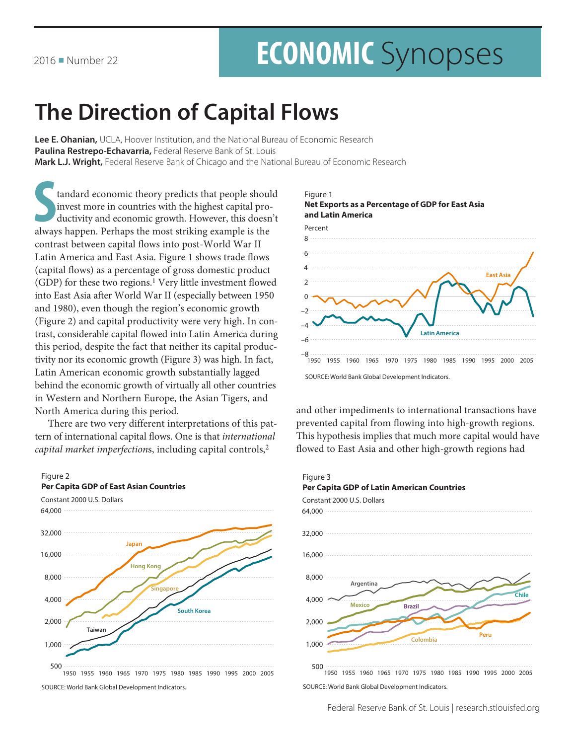# **ECONOMIC** Synopses

## **The Direction of Capital Flows**

Lee E. Ohanian, UCLA, Hoover Institution, and the National Bureau of Economic Research Paulina Restrepo-Echavarria, Federal Reserve Bank of St. Louis Mark L.J. Wright, Federal Reserve Bank of Chicago and the National Bureau of Economic Research

tandard economic theory predicts that people should invest more in countries with the highest capital productivity and economic growth. However, this doesn't always happen. Perhaps the most striking example is the contrast between capital flows into post-World War II Latin America and East Asia. Figure 1 shows trade flows (capital flows) as a percentage of gross domestic product (GDP) for these two regions.<sup>1</sup> Very little investment flowed into East Asia after World War II (especially between 1950 and 1980), even though the region's economic growth (Figure 2) and capital productivity were very high. In contrast, considerable capital flowed into Latin America during this period, despite the fact that neither its capital productivity nor its economic growth (Figure 3) was high. In fact, Latin American economic growth substantially lagged behind the economic growth of virtually all other countries in Western and Northern Europe, the Asian Tigers, and North America during this period.

There are two very different interpretations of this pattern of international capital flows. One is that international capital market imperfections, including capital controls,<sup>2</sup>



SOURCE: World Bank Global Development Indicators.





and other impediments to international transactions have prevented capital from flowing into high-growth regions. This hypothesis implies that much more capital would have flowed to East Asia and other high-growth regions had

#### Figure 3



SOURCE: World Bank Global Development Indicators